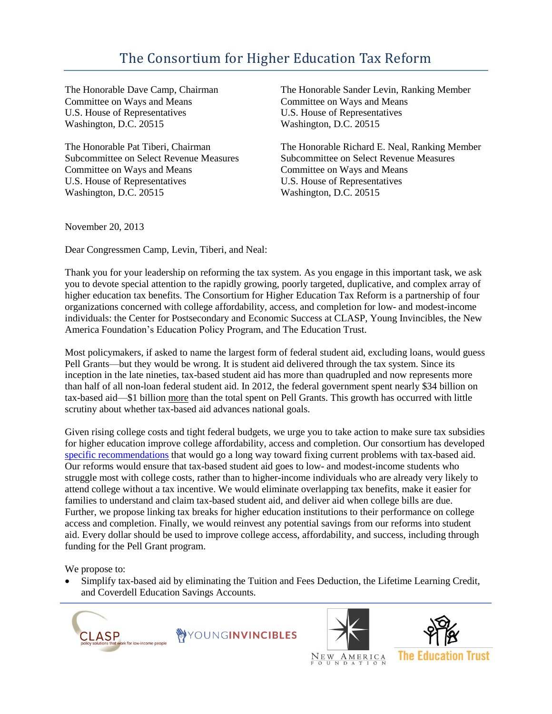## The Consortium for Higher Education Tax Reform

The Honorable Dave Camp, Chairman Committee on Ways and Means U.S. House of Representatives Washington, D.C. 20515

The Honorable Pat Tiberi, Chairman Subcommittee on Select Revenue Measures Committee on Ways and Means U.S. House of Representatives Washington, D.C. 20515

The Honorable Sander Levin, Ranking Member Committee on Ways and Means U.S. House of Representatives Washington, D.C. 20515

The Honorable Richard E. Neal, Ranking Member Subcommittee on Select Revenue Measures Committee on Ways and Means U.S. House of Representatives Washington, D.C. 20515

November 20, 2013

Dear Congressmen Camp, Levin, Tiberi, and Neal:

Thank you for your leadership on reforming the tax system. As you engage in this important task, we ask you to devote special attention to the rapidly growing, poorly targeted, duplicative, and complex array of higher education tax benefits. The Consortium for Higher Education Tax Reform is a partnership of four organizations concerned with college affordability, access, and completion for low- and modest-income individuals: the Center for Postsecondary and Economic Success at CLASP, Young Invincibles, the New America Foundation's Education Policy Program, and The Education Trust.

Most policymakers, if asked to name the largest form of federal student aid, excluding loans, would guess Pell Grants—but they would be wrong. It is student aid delivered through the tax system. Since its inception in the late nineties, tax-based student aid has more than quadrupled and now represents more than half of all non-loan federal student aid. In 2012, the federal government spent nearly \$34 billion on tax-based aid—\$1 billion more than the total spent on Pell Grants. This growth has occurred with little scrutiny about whether tax-based aid advances national goals.

Given rising college costs and tight federal budgets, we urge you to take action to make sure tax subsidies for higher education improve college affordability, access and completion. Our consortium has developed [specific recommendations](http://www.clasp.org/admin/site/publications/files/Nov2013RADD_TaxAid.pdf) that would go a long way toward fixing current problems with tax-based aid. Our reforms would ensure that tax-based student aid goes to low- and modest-income students who struggle most with college costs, rather than to higher-income individuals who are already very likely to attend college without a tax incentive. We would eliminate overlapping tax benefits, make it easier for families to understand and claim tax-based student aid, and deliver aid when college bills are due. Further, we propose linking tax breaks for higher education institutions to their performance on college access and completion. Finally, we would reinvest any potential savings from our reforms into student aid. Every dollar should be used to improve college access, affordability, and success, including through funding for the Pell Grant program.

We propose to:

 Simplify tax-based aid by eliminating the Tuition and Fees Deduction, the Lifetime Learning Credit, and Coverdell Education Savings Accounts.







AMERICA  $N_{E}$  W  $_{N}$ 

**The Education Trust**